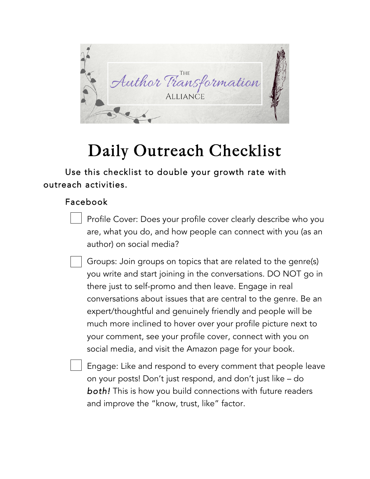

## Daily Outreach Checklist

Use this checklist to double your growth rate with outreach activities.

## Facebook

Profile Cover: Does your profile cover clearly describe who you are, what you do, and how people can connect with you (as an author) on social media?

Groups: Join groups on topics that are related to the genre(s) you write and start joining in the conversations. DO NOT go in there just to self-promo and then leave. Engage in real conversations about issues that are central to the genre. Be an expert/thoughtful and genuinely friendly and people will be much more inclined to hover over your profile picture next to your comment, see your profile cover, connect with you on social media, and visit the Amazon page for your book.

Engage: Like and respond to every comment that people leave on your posts! Don't just respond, and don't just like – do *both!* This is how you build connections with future readers and improve the "know, trust, like" factor.